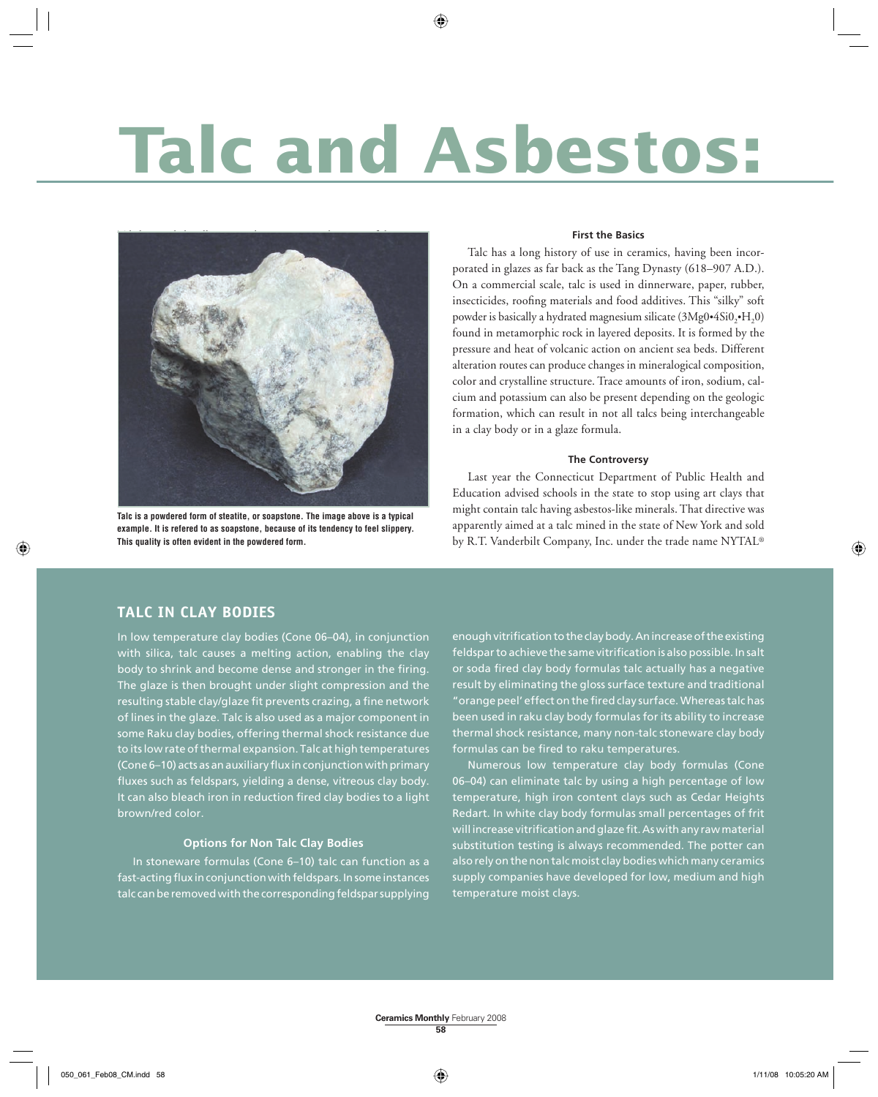# **Talc and Asbestos:**



**Talc is a powdered form of steatite, or soapstone. The image above is a typical example. It is refered to as soapstone, because of its tendency to feel slippery. This quality is often evident in the powdered form.**

#### **First the Basics**

Talc has a long history of use in ceramics, having been incorporated in glazes as far back as the Tang Dynasty (618–907 A.D.). On a commercial scale, talc is used in dinnerware, paper, rubber, insecticides, roofing materials and food additives. This "silky" soft powder is basically a hydrated magnesium silicate  $(3Mg0 \cdot 4Si0 \cdot H, 0)$ found in metamorphic rock in layered deposits. It is formed by the pressure and heat of volcanic action on ancient sea beds. Different alteration routes can produce changes in mineralogical composition, color and crystalline structure. Trace amounts of iron, sodium, calcium and potassium can also be present depending on the geologic formation, which can result in not all talcs being interchangeable in a clay body or in a glaze formula.

#### **The Controversy**

Last year the Connecticut Department of Public Health and Education advised schools in the state to stop using art clays that might contain talc having asbestos-like minerals. That directive was apparently aimed at a talc mined in the state of New York and sold by R.T. Vanderbilt Company, Inc. under the trade name NYTAL®

#### **TALC IN CLAY BODIES**

In low temperature clay bodies (Cone 06–04), in conjunction with silica, talc causes a melting action, enabling the clay body to shrink and become dense and stronger in the firing. The glaze is then brought under slight compression and the resulting stable clay/glaze fit prevents crazing, a fine network of lines in the glaze. Talc is also used as a major component in some Raku clay bodies, offering thermal shock resistance due to its low rate of thermal expansion. Talc at high temperatures (Cone 6-10) acts as an auxiliary flux in conjunction with primary fluxes such as feldspars, yielding a dense, vitreous clay body. It can also bleach iron in reduction fired clay bodies to a light brown/red color.

#### **Options for Non Talc Clay Bodies**

In stoneware formulas (Cone 6–10) talc can function as a fast-acting flux in conjunction with feldspars. In some instances talc can be removed with the corresponding feldspar supplying enough vitrification to the clay body. An increase of the existing feldspar to achieve the same vitrification is also possible. In salt or soda fired clay body formulas talc actually has a negative result by eliminating the gloss surface texture and traditional " orange peel' effect on the fired clay surface. Whereas talchas been used in raku clay body formulas for its ability to increase thermal shock resistance, many non-talc stoneware clay body formulas can be fired to raku temperatures.

Numerous low temperature clay body formulas (Cone 06-04) can eliminate talc by using a high percentage of low temperature, high iron content clays such as Cedar Heights Redart. In white clay body formulas small percentages of frit will increase vitrification and glaze fit. As with any raw material substitution testing is always recommended. The potter can also rely on the non talc moist clay bodies which many ceramics supply companies have developed for low, medium and high temperature moist clays.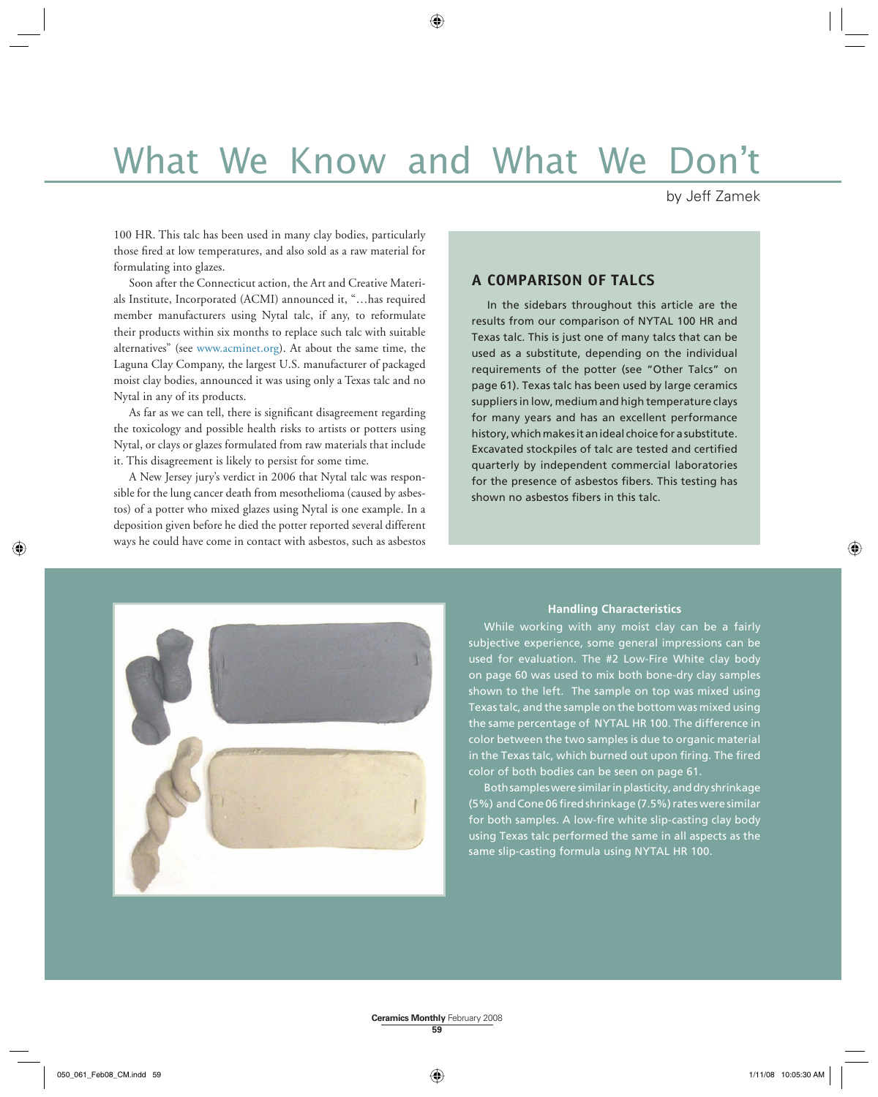# What We Know and What We Don't

#### by Jeff Zamek

100 HR. This talc has been used in many clay bodies, particularly those fired at low temperatures, and also sold as a raw material for formulating into glazes.

Soon after the Connecticut action, the Art and Creative Materials Institute, Incorporated (ACMI) announced it, "…has required member manufacturers using Nytal talc, if any, to reformulate their products within six months to replace such talc with suitable alternatives" (see www.acminet.org). At about the same time, the Laguna Clay Company, the largest U.S. manufacturer of packaged moist clay bodies, announced it was using only a Texas talc and no Nytal in any of its products.

As far as we can tell, there is significant disagreement regarding the toxicology and possible health risks to artists or potters using Nytal, or clays or glazes formulated from raw materials that include it. This disagreement is likely to persist for some time.

A New Jersey jury's verdict in 2006 that Nytal talc was responsible for the lung cancer death from mesothelioma (caused by asbestos) of a potter who mixed glazes using Nytal is one example. In a deposition given before he died the potter reported several different ways he could have come in contact with asbestos, such as asbestos

#### **A COMPARISON OF TALCS**

In the sidebars throughout this article are the results from our comparison of NYTAL 100 HR and Texas talc. This is just one of many talcs that can be used as a substitute, depending on the individual requirements of the potter (see "Other Talcs" on page 61). Texas talc has been used by large ceramics suppliers in low, medium and high temperature clays for many years and has an excellent performance history, which makes it an ideal choice for a substitute. Excavated stockpiles of talc are tested and certified quarterly by independent commercial laboratories for the presence of asbestos fibers. This testing has shown no asbestos fibers in this talc.



#### **Handling Characteristics**

While working with any moist clay can be a fairly subjective experience, some general impressions can be used for evaluation. The #2 Low-Fire White clay body on page 60 was used to mix both bone-dry clay samples shown to the left. The sample on top was mixed using Texas talc, and the sample on the bottom was mixed using the same percentage of NYTAL HR 100. The difference in color between the two samples is due to organic material in the Texas talc, which burned out upon firing. The fired color of both bodies can be seen on page 61.

Both samples were similar in plasticity, and dry shrinkage (5%) and Cone 06 fired shrinkage (7.5%) rates were similar for both samples. A low-fire white slip-casting clay body using Texas talc performed the same in all aspects as the same slip-casting formula using NYTAL HR 100.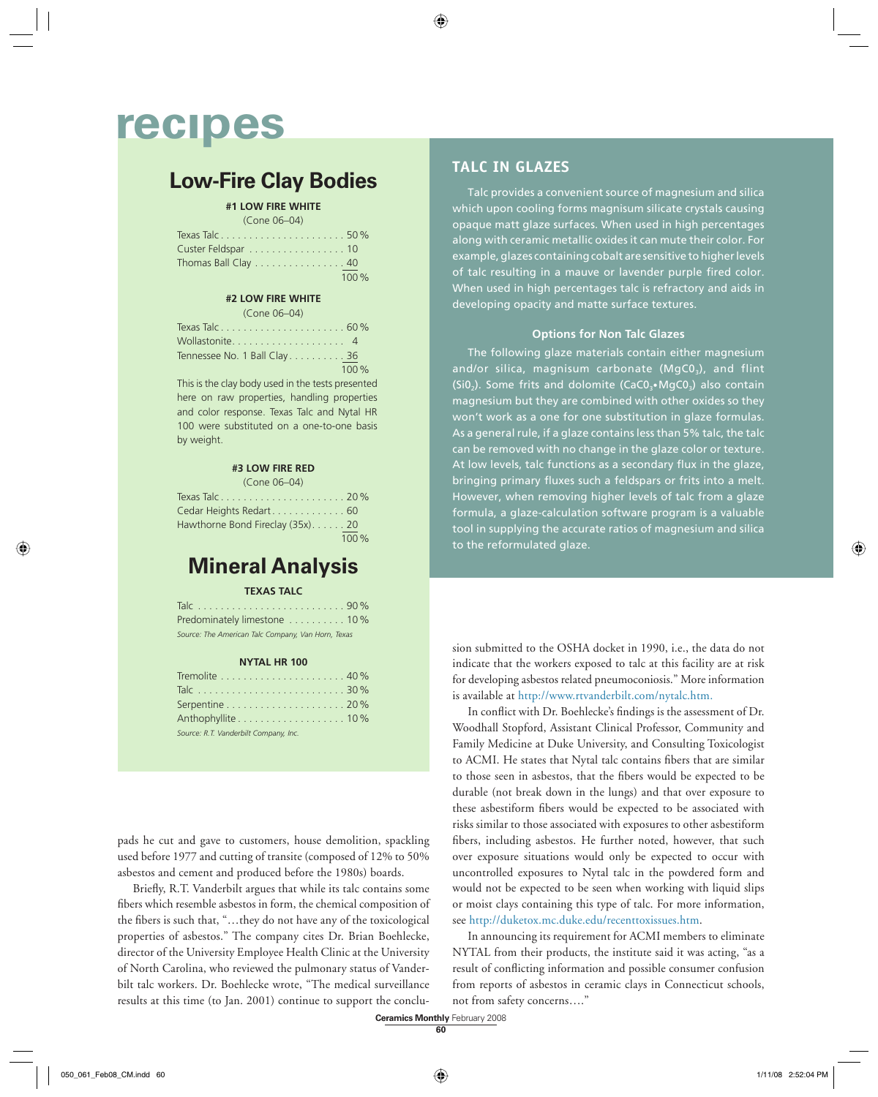## **recipes**

### **Low-Fire Clay Bodies**

#### **#1 LOW FIRE WHITE**

| (Cone 06-04)                                             |      |
|----------------------------------------------------------|------|
|                                                          |      |
| Custer Feldspar 10                                       |      |
| Thomas Ball Clay $\ldots \ldots \ldots \ldots \ldots 40$ |      |
|                                                          | 100% |

#### **#2 LOW FIRE WHITE**

| (Cone 06-04)                 |       |
|------------------------------|-------|
|                              |       |
|                              |       |
| Tennessee No. 1 Ball Clay 36 |       |
|                              | 100 % |

This is the clay body used in the tests presented here on raw properties, handling properties and color response. Texas Talc and Nytal HR 100 were substituted on a one-to-one basis by weight.

#### **#3 LOW FIRE RED**  $(Cone \cap C_1)$

| ILVIIL VV VTI                     |      |
|-----------------------------------|------|
|                                   |      |
| Cedar Heights Redart 60           |      |
| Hawthorne Bond Fireclay (35x). 20 |      |
|                                   | 100% |

### **Mineral Analysis**

#### **TEXAS TALC**

| Predominately limestone  10%                       |  |
|----------------------------------------------------|--|
| Source: The American Talc Company, Van Horn, Texas |  |

#### **NYTAL HR 100**

| Tremolite $\ldots \ldots \ldots \ldots \ldots \ldots \ldots 40\%$ |  |
|-------------------------------------------------------------------|--|
|                                                                   |  |
| Serpentine $\ldots \ldots \ldots \ldots \ldots \ldots 20\%$       |  |
|                                                                   |  |
| Source: R.T. Vanderbilt Company, Inc.                             |  |

pads he cut and gave to customers, house demolition, spackling used before 1977 and cutting of transite (composed of 12% to 50% asbestos and cement and produced before the 1980s) boards.

Briefly, R.T. Vanderbilt argues that while its talc contains some fibers which resemble asbestos in form, the chemical composition of the fibers is such that, "...they do not have any of the toxicological properties of asbestos." The company cites Dr. Brian Boehlecke, director of the University Employee Health Clinic at the University of North Carolina, who reviewed the pulmonary status of Vanderbilt talc workers. Dr. Boehlecke wrote, "The medical surveillance results at this time (to Jan. 2001) continue to support the conclu-

#### **TALC IN GLAZES**

Talc provides a convenient source of magnesium and silica which upon cooling forms magnisum silicate crystals causing opaque matt glaze surfaces. When used in high percentages along with ceramic metallic oxides it can mute their color. For example, glazes containing cobalt are sensitive to higher levels of talc resulting in a mauve or lavender purple fired color. When used in high percentages talc is refractory and aids in developing opacity and matte surface textures.

#### **Options for Non Talc Glazes**

The following glaze materials contain either magnesium and/or silica, magnisum carbonate ( $MgCO<sub>3</sub>$ ), and flint (Si0<sub>2</sub>). Some frits and dolomite (CaC0<sub>3</sub> $\bullet$ MgC0<sub>3</sub>) also contain magnesium but they are combined with other oxides so they won't work as a one for one substitution in glaze formulas. As a general rule, if a glaze contains less than 5% talc, the talc can be removed with no change in the glaze color or texture. At low levels, talc functions as a secondary flux in the glaze, bringing primary fluxes such a feldspars or frits into a melt. However, when removing higher levels of talc from a glaze formula, a glaze-calculation software program is a valuable tool in supplying the accurate ratios of magnesium and silica to the reformulated glaze.

sion submitted to the OSHA docket in 1990, i.e., the data do not indicate that the workers exposed to talc at this facility are at risk for developing asbestos related pneumoconiosis." More information is available at http://www.rtvanderbilt.com/nytalc.htm.

In conflict with Dr. Boehlecke's findings is the assessment of Dr. Woodhall Stopford, Assistant Clinical Professor, Community and Family Medicine at Duke University, and Consulting Toxicologist to ACMI. He states that Nytal talc contains fibers that are similar to those seen in asbestos, that the fibers would be expected to be durable (not break down in the lungs) and that over exposure to these asbestiform fibers would be expected to be associated with risks similar to those associated with exposures to other asbestiform fibers, including asbestos. He further noted, however, that such over exposure situations would only be expected to occur with uncontrolled exposures to Nytal talc in the powdered form and would not be expected to be seen when working with liquid slips or moist clays containing this type of talc. For more information, see http://duketox.mc.duke.edu/recenttoxissues.htm.

In announcing its requirement for ACMI members to eliminate NYTAL from their products, the institute said it was acting, "as a result of conflicting information and possible consumer confusion from reports of asbestos in ceramic clays in Connecticut schools, not from safety concerns…."